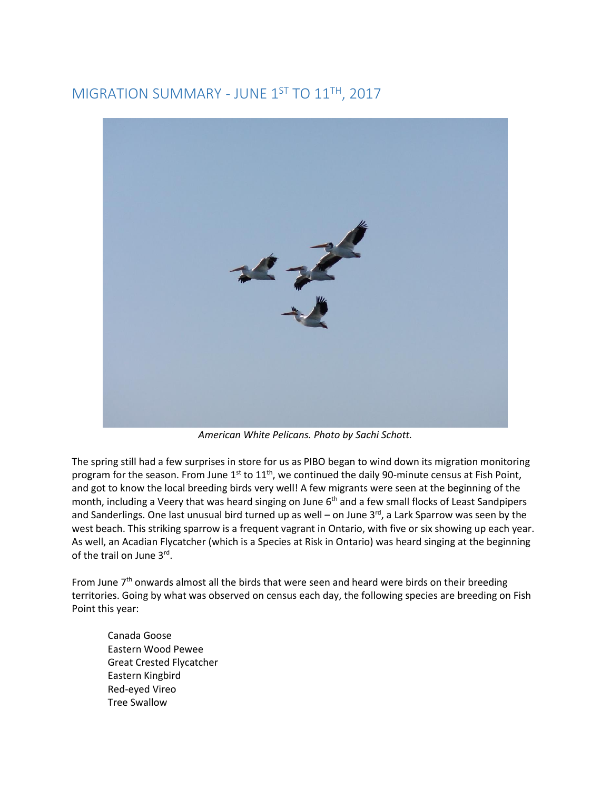## MIGRATION SUMMARY - JUNE 1ST TO 11TH, 2017



*American White Pelicans. Photo by Sachi Schott.* 

The spring still had a few surprises in store for us as PIBO began to wind down its migration monitoring program for the season. From June  $1<sup>st</sup>$  to  $11<sup>th</sup>$ , we continued the daily 90-minute census at Fish Point, and got to know the local breeding birds very well! A few migrants were seen at the beginning of the month, including a Veery that was heard singing on June 6<sup>th</sup> and a few small flocks of Least Sandpipers and Sanderlings. One last unusual bird turned up as well – on June  $3^{rd}$ , a Lark Sparrow was seen by the west beach. This striking sparrow is a frequent vagrant in Ontario, with five or six showing up each year. As well, an Acadian Flycatcher (which is a Species at Risk in Ontario) was heard singing at the beginning of the trail on June 3rd.

From June  $7<sup>th</sup>$  onwards almost all the birds that were seen and heard were birds on their breeding territories. Going by what was observed on census each day, the following species are breeding on Fish Point this year:

 Canada Goose Eastern Wood Pewee Great Crested Flycatcher Eastern Kingbird Red-eyed Vireo Tree Swallow